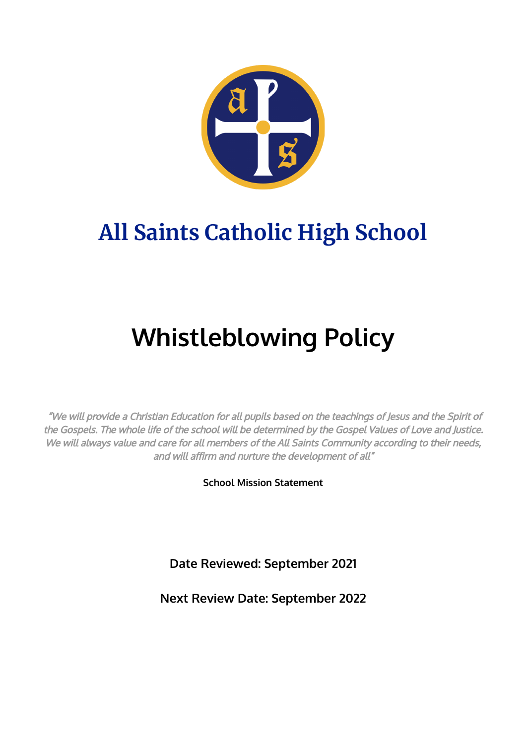

## **All Saints Catholic High School**

# **Whistleblowing Policy**

"We will provide <sup>a</sup> Christian Education for all pupils based on the teachings of Jesus and the Spirit of the Gospels. The whole life of the school will be determined by the Gospel Values of Love and Justice. We will always value and care for all members of the All Saints Community according to their needs, and will affirm and nurture the development of all"

**School Mission Statement**

**Date Reviewed: September 2021**

**Next Review Date: September 2022**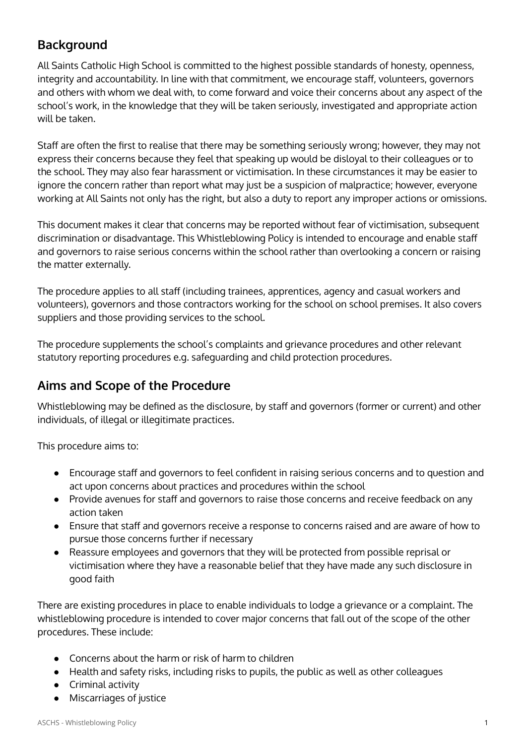### **Background**

All Saints Catholic High School is committed to the highest possible standards of honesty, openness, integrity and accountability. In line with that commitment, we encourage staff, volunteers, governors and others with whom we deal with, to come forward and voice their concerns about any aspect of the school's work, in the knowledge that they will be taken seriously, investigated and appropriate action will be taken.

Staff are often the first to realise that there may be something seriously wrong; however, they may not express their concerns because they feel that speaking up would be disloyal to their colleagues or to the school. They may also fear harassment or victimisation. In these circumstances it may be easier to ignore the concern rather than report what may just be a suspicion of malpractice; however, everyone working at All Saints not only has the right, but also a duty to report any improper actions or omissions.

This document makes it clear that concerns may be reported without fear of victimisation, subsequent discrimination or disadvantage. This Whistleblowing Policy is intended to encourage and enable staff and governors to raise serious concerns within the school rather than overlooking a concern or raising the matter externally.

The procedure applies to all staff (including trainees, apprentices, agency and casual workers and volunteers), governors and those contractors working for the school on school premises. It also covers suppliers and those providing services to the school.

The procedure supplements the school's complaints and grievance procedures and other relevant statutory reporting procedures e.g. safeguarding and child protection procedures.

### **Aims and Scope of the Procedure**

Whistleblowing may be defined as the disclosure, by staff and governors (former or current) and other individuals, of illegal or illegitimate practices.

This procedure aims to:

- Encourage staff and governors to feel confident in raising serious concerns and to question and act upon concerns about practices and procedures within the school
- Provide avenues for staff and governors to raise those concerns and receive feedback on any action taken
- Ensure that staff and governors receive a response to concerns raised and are aware of how to pursue those concerns further if necessary
- Reassure employees and governors that they will be protected from possible reprisal or victimisation where they have a reasonable belief that they have made any such disclosure in good faith

There are existing procedures in place to enable individuals to lodge a grievance or a complaint. The whistleblowing procedure is intended to cover major concerns that fall out of the scope of the other procedures. These include:

- Concerns about the harm or risk of harm to children
- Health and safety risks, including risks to pupils, the public as well as other colleagues
- Criminal activity
- Miscarriages of justice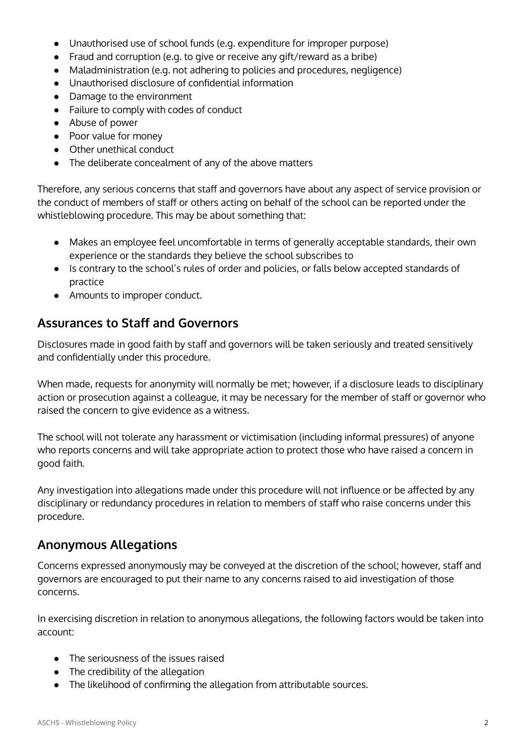- Unauthorised use of school funds (e.g. expenditure for improper purpose)
- Fraud and corruption (e.g. to give or receive any gift/reward as a bribe)
- Maladministration (e.g. not adhering to policies and procedures, negligence)
- Unauthorised disclosure of confidential information
- Damage to the environment
- Failure to comply with codes of conduct
- Abuse of power
- Poor value for money
- Other unethical conduct
- The deliberate concealment of any of the above matters

Therefore, any serious concerns that staff and governors have about any aspect of service provision or the conduct of members of staff or others acting on behalf of the school can be reported under the whistleblowing procedure. This may be about something that:

- Makes an employee feel uncomfortable in terms of generally acceptable standards, their own experience or the standards they believe the school subscribes to
- Is contrary to the school's rules of order and policies, or falls below accepted standards of practice
- Amounts to improper conduct.

#### **Assurances to Staff and Governors**

Disclosures made in good faith by staff and governors will be taken seriously and treated sensitively and confidentially under this procedure.

When made, requests for anonymity will normally be met; however, if a disclosure leads to disciplinary action or prosecution against a colleague, it may be necessary for the member of staff or governor who raised the concern to give evidence as a witness.

The school will not tolerate any harassment or victimisation (including informal pressures) of anyone who reports concerns and will take appropriate action to protect those who have raised a concern in good faith.

Any investigation into allegations made under this procedure will not influence or be affected by any disciplinary or redundancy procedures in relation to members of staff who raise concerns under this procedure.

#### **Anonymous Allegations**

Concerns expressed anonymously may be conveyed at the discretion of the school; however, staff and governors are encouraged to put their name to any concerns raised to aid investigation of those concerns.

In exercising discretion in relation to anonymous allegations, the following factors would be taken into account:

- The seriousness of the issues raised
- The credibility of the allegation
- The likelihood of confirming the allegation from attributable sources.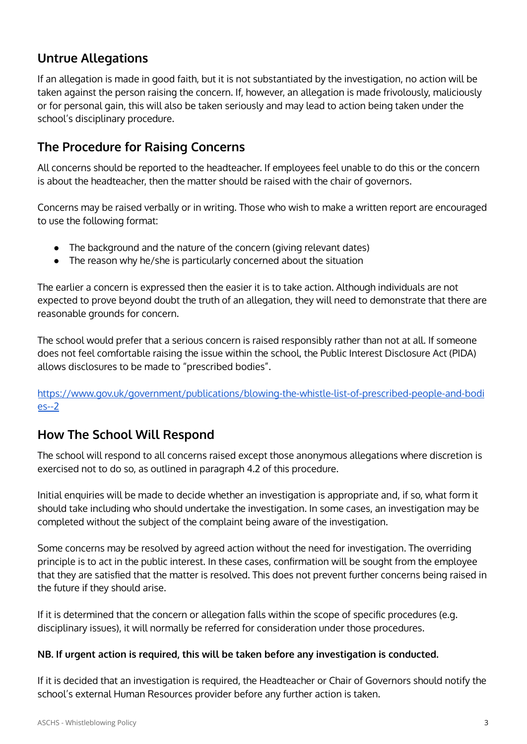#### **Untrue Allegations**

If an allegation is made in good faith, but it is not substantiated by the investigation, no action will be taken against the person raising the concern. If, however, an allegation is made frivolously, maliciously or for personal gain, this will also be taken seriously and may lead to action being taken under the school's disciplinary procedure.

#### **The Procedure for Raising Concerns**

All concerns should be reported to the headteacher. If employees feel unable to do this or the concern is about the headteacher, then the matter should be raised with the chair of governors.

Concerns may be raised verbally or in writing. Those who wish to make a written report are encouraged to use the following format:

- The background and the nature of the concern (giving relevant dates)
- The reason why he/she is particularly concerned about the situation

The earlier a concern is expressed then the easier it is to take action. Although individuals are not expected to prove beyond doubt the truth of an allegation, they will need to demonstrate that there are reasonable grounds for concern.

The school would prefer that a serious concern is raised responsibly rather than not at all. If someone does not feel comfortable raising the issue within the school, the Public Interest Disclosure Act (PIDA) allows disclosures to be made to "prescribed bodies".

[https://www.gov.uk/government/publications/blowing-the-whistle-list-of-prescribed-people-and-bodi](https://www.gov.uk/government/publications/blowing-the-whistle-list-of-prescribed-people-and-bodies--2) [es--2](https://www.gov.uk/government/publications/blowing-the-whistle-list-of-prescribed-people-and-bodies--2)

### **How The School Will Respond**

The school will respond to all concerns raised except those anonymous allegations where discretion is exercised not to do so, as outlined in paragraph 4.2 of this procedure.

Initial enquiries will be made to decide whether an investigation is appropriate and, if so, what form it should take including who should undertake the investigation. In some cases, an investigation may be completed without the subject of the complaint being aware of the investigation.

Some concerns may be resolved by agreed action without the need for investigation. The overriding principle is to act in the public interest. In these cases, confirmation will be sought from the employee that they are satisfied that the matter is resolved. This does not prevent further concerns being raised in the future if they should arise.

If it is determined that the concern or allegation falls within the scope of specific procedures (e.g. disciplinary issues), it will normally be referred for consideration under those procedures.

#### **NB. If urgent action is required, this will be taken before any investigation is conducted.**

If it is decided that an investigation is required, the Headteacher or Chair of Governors should notify the school's external Human Resources provider before any further action is taken.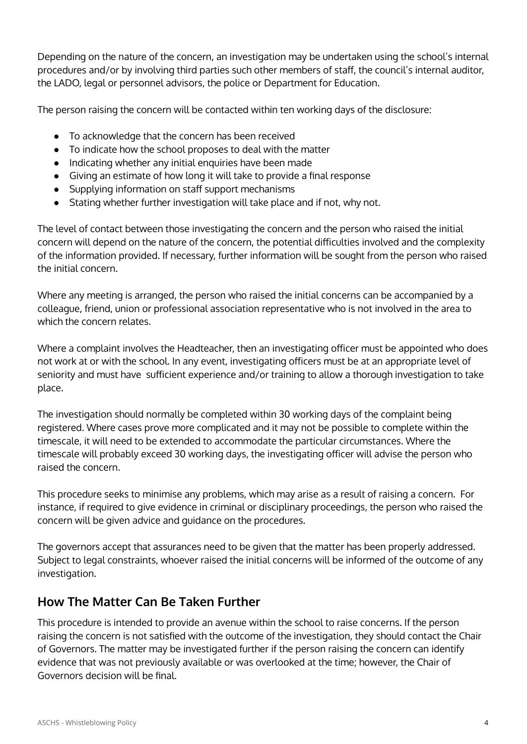Depending on the nature of the concern, an investigation may be undertaken using the school's internal procedures and/or by involving third parties such other members of staff, the council's internal auditor, the LADO, legal or personnel advisors, the police or Department for Education.

The person raising the concern will be contacted within ten working days of the disclosure:

- To acknowledge that the concern has been received
- To indicate how the school proposes to deal with the matter
- Indicating whether any initial enquiries have been made
- Giving an estimate of how long it will take to provide a final response
- Supplying information on staff support mechanisms
- Stating whether further investigation will take place and if not, why not.

The level of contact between those investigating the concern and the person who raised the initial concern will depend on the nature of the concern, the potential difficulties involved and the complexity of the information provided. If necessary, further information will be sought from the person who raised the initial concern.

Where any meeting is arranged, the person who raised the initial concerns can be accompanied by a colleague, friend, union or professional association representative who is not involved in the area to which the concern relates.

Where a complaint involves the Headteacher, then an investigating officer must be appointed who does not work at or with the school. In any event, investigating officers must be at an appropriate level of seniority and must have sufficient experience and/or training to allow a thorough investigation to take place.

The investigation should normally be completed within 30 working days of the complaint being registered. Where cases prove more complicated and it may not be possible to complete within the timescale, it will need to be extended to accommodate the particular circumstances. Where the timescale will probably exceed 30 working days, the investigating officer will advise the person who raised the concern.

This procedure seeks to minimise any problems, which may arise as a result of raising a concern. For instance, if required to give evidence in criminal or disciplinary proceedings, the person who raised the concern will be given advice and guidance on the procedures.

The governors accept that assurances need to be given that the matter has been properly addressed. Subject to legal constraints, whoever raised the initial concerns will be informed of the outcome of any investigation.

#### **How The Matter Can Be Taken Further**

This procedure is intended to provide an avenue within the school to raise concerns. If the person raising the concern is not satisfied with the outcome of the investigation, they should contact the Chair of Governors. The matter may be investigated further if the person raising the concern can identify evidence that was not previously available or was overlooked at the time; however, the Chair of Governors decision will be final.